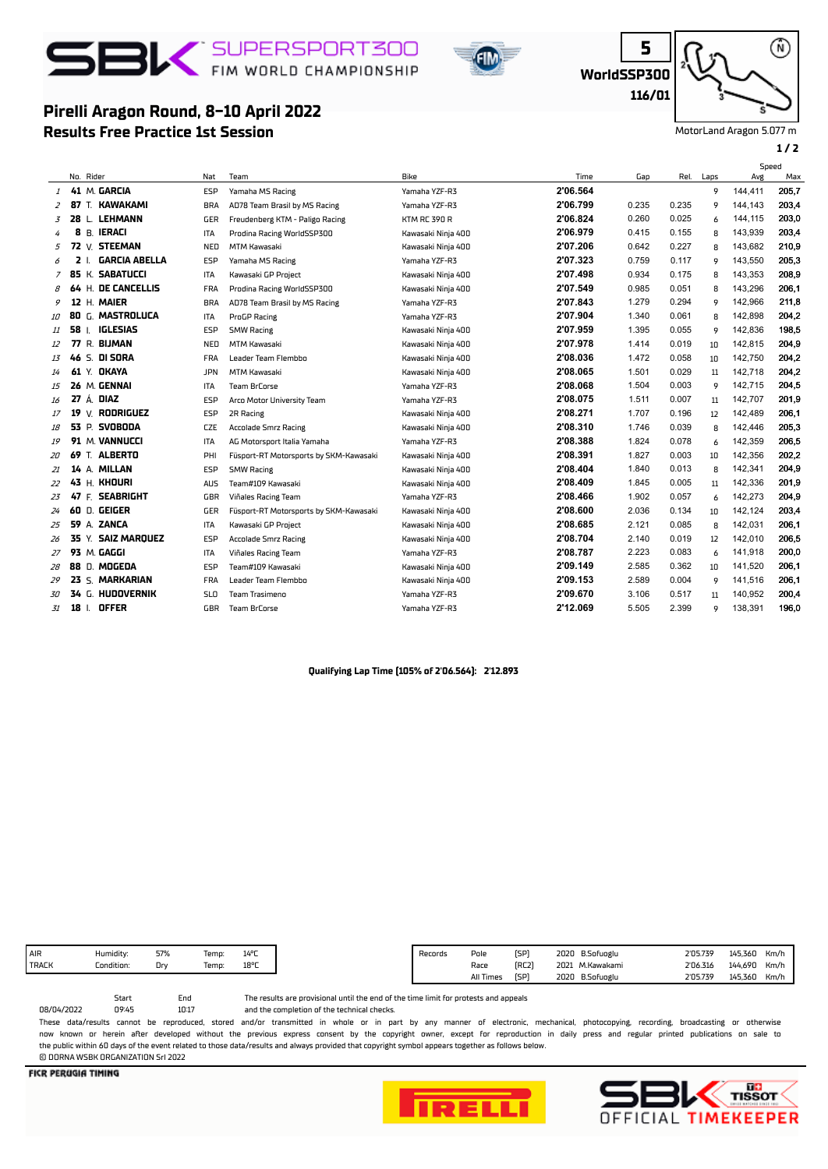

**Results Free Practice 1st Session**

**Pirelli Aragon Round, 8-10 April 2022**



**WorldSSP300**

**5**

⋒ **116/01**

MotorLand Aragon 5.077 m

## **1 / 2**

|                |    |                         |            |                                        |                     |          |       |       |      | Speed   |       |
|----------------|----|-------------------------|------------|----------------------------------------|---------------------|----------|-------|-------|------|---------|-------|
|                |    | No. Rider               | Nat        | Team                                   | Bike                | Time     | Gap   | Rel.  | Laps | Avg     | Max   |
| 1              |    | 41 M. GARCIA            | <b>ESP</b> | Yamaha MS Racing                       | Yamaha YZF-R3       | 2'06.564 |       |       | 9    | 144,411 | 205,7 |
| 2              |    | 87 T. KAWAKAMI          | <b>BRA</b> | AD78 Team Brasil by MS Racing          | Yamaha YZF-R3       | 2'06.799 | 0.235 | 0.235 | 9    | 144.143 | 203,4 |
| 3              |    | <b>LEHMANN</b><br>28 L. | <b>GER</b> | Freudenberg KTM - Paligo Racing        | <b>KTM RC 390 R</b> | 2'06.824 | 0.260 | 0.025 | 6    | 144,115 | 203,0 |
| 4              | 8  | <b>B. IERACI</b>        | <b>ITA</b> | Prodina Racing WorldSSP300             | Kawasaki Ninja 400  | 2'06.979 | 0.415 | 0.155 | 8    | 143,939 | 203,4 |
| 5              |    | 72 V. STEEMAN           | NED        | <b>MTM Kawasaki</b>                    | Kawasaki Ninja 400  | 2'07.206 | 0.642 | 0.227 | 8    | 143,682 | 210,9 |
| 6              | 2  | <b>GARCIA ABELLA</b>    | ESP        | Yamaha MS Racing                       | Yamaha YZF-R3       | 2'07.323 | 0.759 | 0.117 | 9    | 143,550 | 205,3 |
| $\overline{z}$ |    | 85 K. SABATUCCI         | <b>ITA</b> | Kawasaki GP Project                    | Kawasaki Ninia 400  | 2'07.498 | 0.934 | 0.175 | 8    | 143.353 | 208.9 |
| 8              |    | 64 H. DE CANCELLIS      | <b>FRA</b> | Prodina Racing WorldSSP300             | Kawasaki Ninja 400  | 2'07.549 | 0.985 | 0.051 | 8    | 143,296 | 206,1 |
| 9              |    | 12 H. MAIER             | <b>BRA</b> | AD78 Team Brasil by MS Racing          | Yamaha YZF-R3       | 2'07.843 | 1.279 | 0.294 | 9    | 142,966 | 211,8 |
| 10             |    | 80 G. MASTROLUCA        | <b>ITA</b> | ProGP Racing                           | Yamaha YZF-R3       | 2'07.904 | 1.340 | 0.061 | 8    | 142.898 | 204,2 |
| 11             | 58 | <b>IGLESIAS</b><br>-1.  | ESP        | <b>SMW Racing</b>                      | Kawasaki Ninja 400  | 2'07.959 | 1.395 | 0.055 | 9    | 142,836 | 198,5 |
| 12             |    | 77 R. BIJMAN            | NED        | <b>MTM Kawasaki</b>                    | Kawasaki Ninja 400  | 2'07.978 | 1.414 | 0.019 | 10   | 142,815 | 204,9 |
| 13             |    | 46 S. DI SORA           | <b>FRA</b> | Leader Team Flembbo                    | Kawasaki Ninja 400  | 2'08.036 | 1.472 | 0.058 | 10   | 142.750 | 204,2 |
| 14             |    | 61 Y. OKAYA             | <b>JPN</b> | <b>MTM Kawasaki</b>                    | Kawasaki Ninja 400  | 2'08.065 | 1.501 | 0.029 | 11   | 142,718 | 204,2 |
| 15             |    | 26 M. GENNAI            | <b>ITA</b> | <b>Team BrCorse</b>                    | Yamaha YZF-R3       | 2'08.068 | 1.504 | 0.003 | 9    | 142,715 | 204,5 |
| 16             |    | 27 Á. DIAZ              | ESP        | Arco Motor University Team             | Yamaha YZF-R3       | 2'08.075 | 1.511 | 0.007 | 11   | 142.707 | 201,9 |
| 17             | 19 | V. RODRIGUEZ            | <b>ESP</b> | 2R Racing                              | Kawasaki Ninja 400  | 2'08.271 | 1.707 | 0.196 | 12   | 142,489 | 206,1 |
| 18             |    | <b>53 P. SVOBODA</b>    | <b>CZE</b> | Accolade Smrz Racing                   | Kawasaki Ninja 400  | 2'08.310 | 1.746 | 0.039 | 8    | 142,446 | 205,3 |
| 19             |    | 91 M. VANNUCCI          | ITA        | AG Motorsport Italia Yamaha            | Yamaha YZF-R3       | 2'08.388 | 1.824 | 0.078 | 6    | 142,359 | 206,5 |
| 20             |    | 69 T. ALBERTO           | PHI        | Füsport-RT Motorsports by SKM-Kawasaki | Kawasaki Ninia 400  | 2'08.391 | 1.827 | 0.003 | 10   | 142,356 | 202,2 |
| 21             |    | 14 A. MILLAN            | ESP        | <b>SMW Racing</b>                      | Kawasaki Ninja 400  | 2'08.404 | 1.840 | 0.013 | 8    | 142.341 | 204,9 |
| 22             |    | 43 H. KHOURI            | <b>AUS</b> | Team#109 Kawasaki                      | Kawasaki Ninja 400  | 2'08.409 | 1.845 | 0.005 | 11   | 142,336 | 201,9 |
| 23             |    | 47 F. SEABRIGHT         | GBR        | Viñales Racing Team                    | Yamaha YZF-R3       | 2'08.466 | 1.902 | 0.057 | 6    | 142,273 | 204,9 |
| 24             |    | 60 D. GEIGER            | GER        | Füsport-RT Motorsports by SKM-Kawasaki | Kawasaki Ninja 400  | 2'08.600 | 2.036 | 0.134 | 10   | 142,124 | 203,4 |
| 25             |    | 59 A. ZANCA             | <b>ITA</b> | Kawasaki GP Project                    | Kawasaki Ninja 400  | 2'08.685 | 2.121 | 0.085 | 8    | 142,031 | 206,1 |
| 26             |    | 35 Y. SAIZ MAROUEZ      | ESP        | <b>Accolade Smrz Racing</b>            | Kawasaki Ninja 400  | 2'08.704 | 2.140 | 0.019 | 12   | 142,010 | 206,5 |
| 27             |    | 93 M. GAGGI             | <b>ITA</b> | Viñales Racing Team                    | Yamaha YZF-R3       | 2'08.787 | 2.223 | 0.083 | 6    | 141.918 | 200.0 |
| 28             |    | 88 D. MOGEDA            | ESP        | Team#109 Kawasaki                      | Kawasaki Ninja 400  | 2'09.149 | 2.585 | 0.362 | 10   | 141,520 | 206,1 |
| 29             |    | 23 S. MARKARIAN         | <b>FRA</b> | Leader Team Flembbo                    | Kawasaki Ninja 400  | 2'09.153 | 2.589 | 0.004 | 9    | 141,516 | 206,1 |
| 30             |    | 34 G. HUDOVERNIK        | <b>SLO</b> | Team Trasimeno                         | Yamaha YZF-R3       | 2'09.670 | 3.106 | 0.517 | 11   | 140,952 | 200,4 |
| 31             | 18 | <b>OFFER</b>            | GBR        | <b>Team BrCorse</b>                    | Yamaha YZF-R3       | 2'12.069 | 5.505 | 2.399 | 9    | 138,391 | 196,0 |

### **Qualifying Lap Time (105% of 2'06.564): 2'12.893**

|              | $\cdots$<br>Humidity: | 57% | emp:  | $14^{\circ}$ C |
|--------------|-----------------------|-----|-------|----------------|
| <b>TRACK</b> | _ondition:            | Dry | lemp: | $18^{\rm o}$ r |
|              |                       |     |       |                |

and the completion of the technical checks. The results are provisional until the end of the time limit for protests and appeals

10:17 Start End<br>09:45 10:11 08/04/2022 These data/results cannot be reproduced, stored and/or transmitted in whole or in part by any manner of electronic, mechanical, photocopying, recording, broadcasting or otherwise now known or herein afer developed without the previous express consent by the copyright owner, except for reproduction in daily press and regular printed publications on sale to the public within 60 days of the event related to those data/results and always provided that copyright symbol appears together as follows below.

© DORNA WSBK ORGANIZATION Srl 2022

**FICR PERUGIA TIMING**